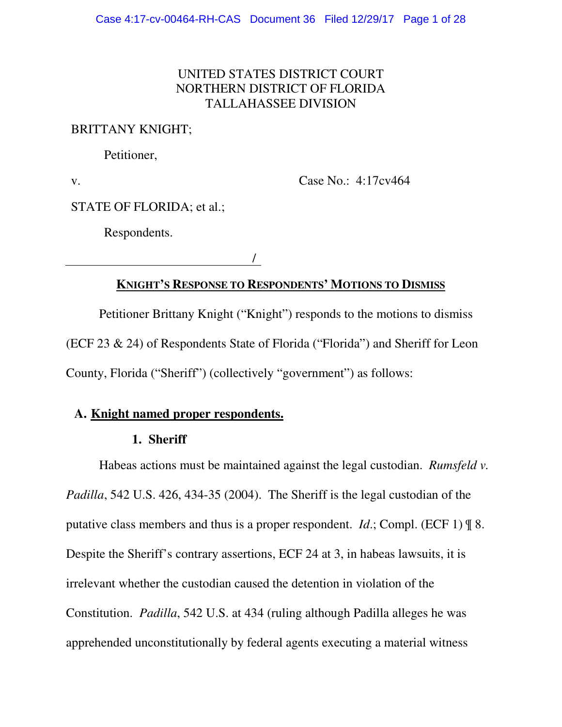## UNITED STATES DISTRICT COURT NORTHERN DISTRICT OF FLORIDA TALLAHASSEE DIVISION

### BRITTANY KNIGHT;

Petitioner,

v.

Case No.: 4:17cv464

STATE OF FLORIDA; et al.;

Respondents.

/

# **KNIGHT'S RESPONSE TO RESPONDENTS' MOTIONS TO DISMISS**

Petitioner Brittany Knight ("Knight") responds to the motions to dismiss (ECF 23 & 24) of Respondents State of Florida ("Florida") and Sheriff for Leon County, Florida ("Sheriff") (collectively "government") as follows:

## **A. Knight named proper respondents.**

## **1. Sheriff**

Habeas actions must be maintained against the legal custodian. *Rumsfeld v. Padilla*, 542 U.S. 426, 434-35 (2004). The Sheriff is the legal custodian of the putative class members and thus is a proper respondent. *Id*.; Compl. (ECF 1) ¶ 8. Despite the Sheriff's contrary assertions, ECF 24 at 3, in habeas lawsuits, it is irrelevant whether the custodian caused the detention in violation of the Constitution. *Padilla*, 542 U.S. at 434 (ruling although Padilla alleges he was apprehended unconstitutionally by federal agents executing a material witness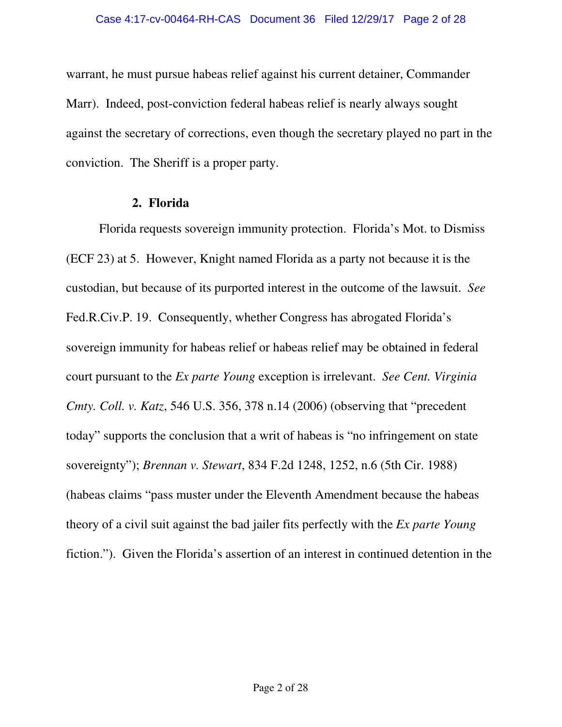warrant, he must pursue habeas relief against his current detainer, Commander Marr). Indeed, post-conviction federal habeas relief is nearly always sought against the secretary of corrections, even though the secretary played no part in the conviction. The Sheriff is a proper party.

### **2. Florida**

Florida requests sovereign immunity protection. Florida's Mot. to Dismiss (ECF 23) at 5. However, Knight named Florida as a party not because it is the custodian, but because of its purported interest in the outcome of the lawsuit. *See*  Fed.R.Civ.P. 19. Consequently, whether Congress has abrogated Florida's sovereign immunity for habeas relief or habeas relief may be obtained in federal court pursuant to the *Ex parte Young* exception is irrelevant. *See Cent. Virginia Cmty. Coll. v. Katz*, 546 U.S. 356, 378 n.14 (2006) (observing that "precedent today" supports the conclusion that a writ of habeas is "no infringement on state sovereignty"); *Brennan v. Stewart*, 834 F.2d 1248, 1252, n.6 (5th Cir. 1988) (habeas claims "pass muster under the Eleventh Amendment because the habeas theory of a civil suit against the bad jailer fits perfectly with the *Ex parte Young* fiction."). Given the Florida's assertion of an interest in continued detention in the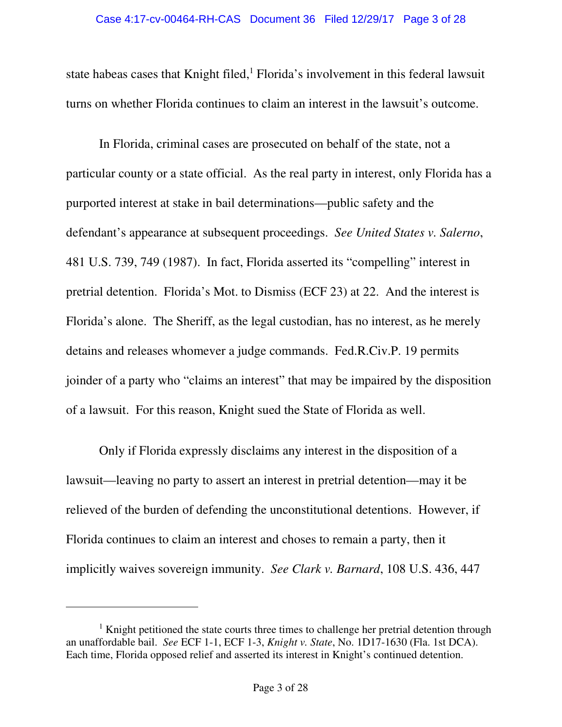state habeas cases that Knight filed, $<sup>1</sup>$  Florida's involvement in this federal lawsuit</sup> turns on whether Florida continues to claim an interest in the lawsuit's outcome.

In Florida, criminal cases are prosecuted on behalf of the state, not a particular county or a state official. As the real party in interest, only Florida has a purported interest at stake in bail determinations—public safety and the defendant's appearance at subsequent proceedings. *See United States v. Salerno*, 481 U.S. 739, 749 (1987). In fact, Florida asserted its "compelling" interest in pretrial detention. Florida's Mot. to Dismiss (ECF 23) at 22. And the interest is Florida's alone. The Sheriff, as the legal custodian, has no interest, as he merely detains and releases whomever a judge commands. Fed.R.Civ.P. 19 permits joinder of a party who "claims an interest" that may be impaired by the disposition of a lawsuit. For this reason, Knight sued the State of Florida as well.

Only if Florida expressly disclaims any interest in the disposition of a lawsuit—leaving no party to assert an interest in pretrial detention—may it be relieved of the burden of defending the unconstitutional detentions. However, if Florida continues to claim an interest and choses to remain a party, then it implicitly waives sovereign immunity. *See Clark v. Barnard*, 108 U.S. 436, 447

<sup>&</sup>lt;sup>1</sup> Knight petitioned the state courts three times to challenge her pretrial detention through an unaffordable bail. *See* ECF 1-1, ECF 1-3, *Knight v. State*, No. 1D17-1630 (Fla. 1st DCA). Each time, Florida opposed relief and asserted its interest in Knight's continued detention.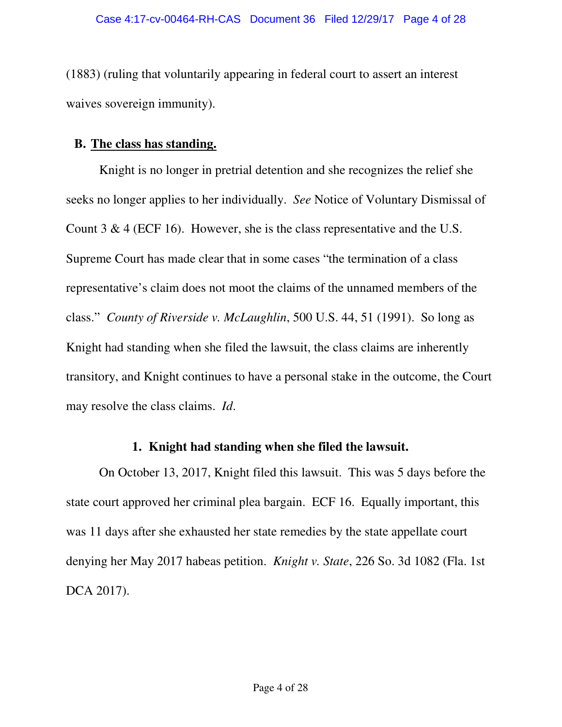(1883) (ruling that voluntarily appearing in federal court to assert an interest waives sovereign immunity).

### **B. The class has standing.**

Knight is no longer in pretrial detention and she recognizes the relief she seeks no longer applies to her individually. *See* Notice of Voluntary Dismissal of Count 3 & 4 (ECF 16). However, she is the class representative and the U.S. Supreme Court has made clear that in some cases "the termination of a class representative's claim does not moot the claims of the unnamed members of the class." *County of Riverside v. McLaughlin*, 500 U.S. 44, 51 (1991). So long as Knight had standing when she filed the lawsuit, the class claims are inherently transitory, and Knight continues to have a personal stake in the outcome, the Court may resolve the class claims. *Id*.

## **1. Knight had standing when she filed the lawsuit.**

On October 13, 2017, Knight filed this lawsuit. This was 5 days before the state court approved her criminal plea bargain. ECF 16. Equally important, this was 11 days after she exhausted her state remedies by the state appellate court denying her May 2017 habeas petition. *Knight v. State*, 226 So. 3d 1082 (Fla. 1st DCA 2017).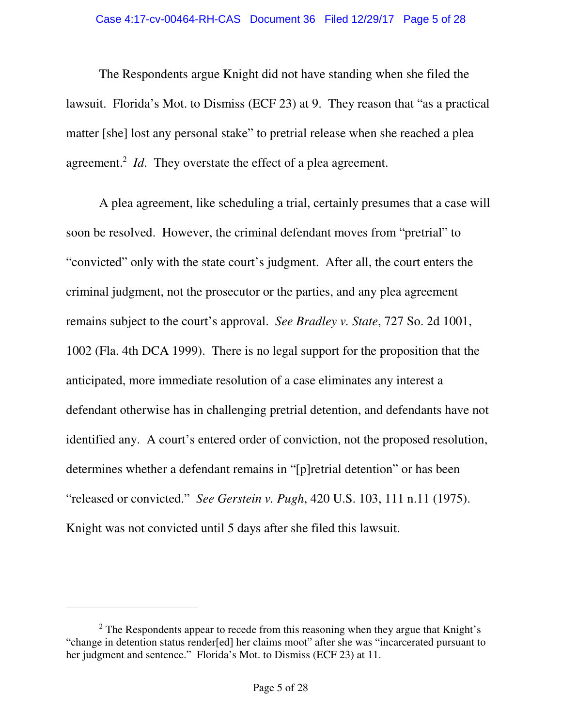#### Case 4:17-cv-00464-RH-CAS Document 36 Filed 12/29/17 Page 5 of 28

The Respondents argue Knight did not have standing when she filed the lawsuit. Florida's Mot. to Dismiss (ECF 23) at 9. They reason that "as a practical matter [she] lost any personal stake" to pretrial release when she reached a plea agreement.<sup>2</sup> *Id*. They overstate the effect of a plea agreement.

A plea agreement, like scheduling a trial, certainly presumes that a case will soon be resolved. However, the criminal defendant moves from "pretrial" to "convicted" only with the state court's judgment. After all, the court enters the criminal judgment, not the prosecutor or the parties, and any plea agreement remains subject to the court's approval. *See Bradley v. State*, 727 So. 2d 1001, 1002 (Fla. 4th DCA 1999). There is no legal support for the proposition that the anticipated, more immediate resolution of a case eliminates any interest a defendant otherwise has in challenging pretrial detention, and defendants have not identified any. A court's entered order of conviction, not the proposed resolution, determines whether a defendant remains in "[p]retrial detention" or has been "released or convicted." *See Gerstein v. Pugh*, 420 U.S. 103, 111 n.11 (1975). Knight was not convicted until 5 days after she filed this lawsuit.

<sup>&</sup>lt;sup>2</sup> The Respondents appear to recede from this reasoning when they argue that Knight's "change in detention status render[ed] her claims moot" after she was "incarcerated pursuant to her judgment and sentence." Florida's Mot. to Dismiss (ECF 23) at 11.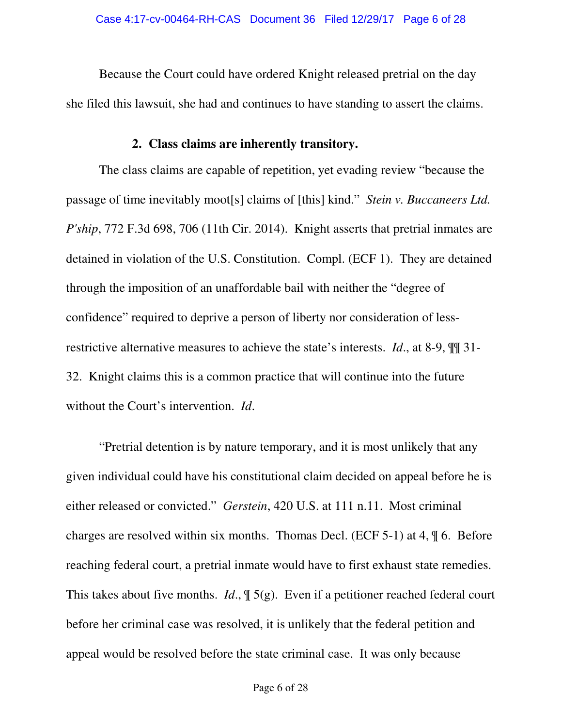Because the Court could have ordered Knight released pretrial on the day she filed this lawsuit, she had and continues to have standing to assert the claims.

### **2. Class claims are inherently transitory.**

The class claims are capable of repetition, yet evading review "because the passage of time inevitably moot[s] claims of [this] kind." *Stein v. Buccaneers Ltd. P'ship*, 772 F.3d 698, 706 (11th Cir. 2014). Knight asserts that pretrial inmates are detained in violation of the U.S. Constitution. Compl. (ECF 1). They are detained through the imposition of an unaffordable bail with neither the "degree of confidence" required to deprive a person of liberty nor consideration of lessrestrictive alternative measures to achieve the state's interests. *Id*., at 8-9, ¶¶ 31- 32. Knight claims this is a common practice that will continue into the future without the Court's intervention. *Id*.

"Pretrial detention is by nature temporary, and it is most unlikely that any given individual could have his constitutional claim decided on appeal before he is either released or convicted." *Gerstein*, 420 U.S. at 111 n.11. Most criminal charges are resolved within six months. Thomas Decl. (ECF 5-1) at 4, ¶ 6. Before reaching federal court, a pretrial inmate would have to first exhaust state remedies. This takes about five months. *Id*., ¶ 5(g). Even if a petitioner reached federal court before her criminal case was resolved, it is unlikely that the federal petition and appeal would be resolved before the state criminal case. It was only because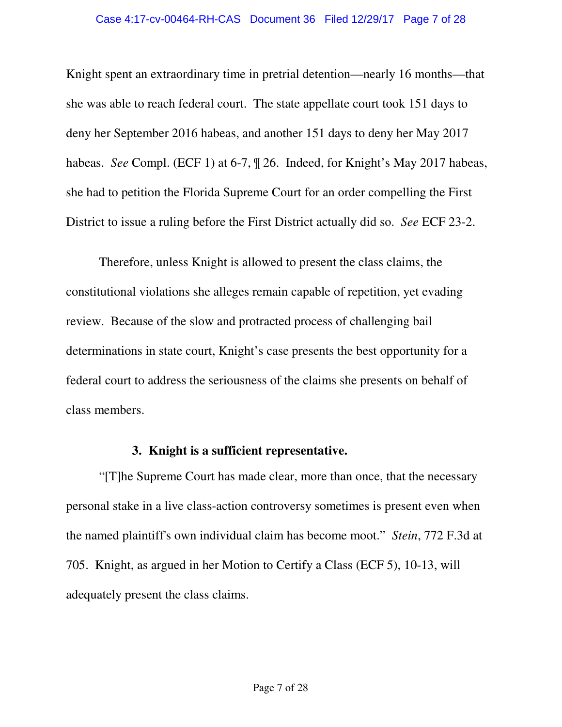#### Case 4:17-cv-00464-RH-CAS Document 36 Filed 12/29/17 Page 7 of 28

Knight spent an extraordinary time in pretrial detention—nearly 16 months—that she was able to reach federal court. The state appellate court took 151 days to deny her September 2016 habeas, and another 151 days to deny her May 2017 habeas. *See* Compl. (ECF 1) at 6-7, ¶ 26. Indeed, for Knight's May 2017 habeas, she had to petition the Florida Supreme Court for an order compelling the First District to issue a ruling before the First District actually did so. *See* ECF 23-2.

Therefore, unless Knight is allowed to present the class claims, the constitutional violations she alleges remain capable of repetition, yet evading review. Because of the slow and protracted process of challenging bail determinations in state court, Knight's case presents the best opportunity for a federal court to address the seriousness of the claims she presents on behalf of class members.

## **3. Knight is a sufficient representative.**

"[T]he Supreme Court has made clear, more than once, that the necessary personal stake in a live class-action controversy sometimes is present even when the named plaintiff's own individual claim has become moot." *Stein*, 772 F.3d at 705. Knight, as argued in her Motion to Certify a Class (ECF 5), 10-13, will adequately present the class claims.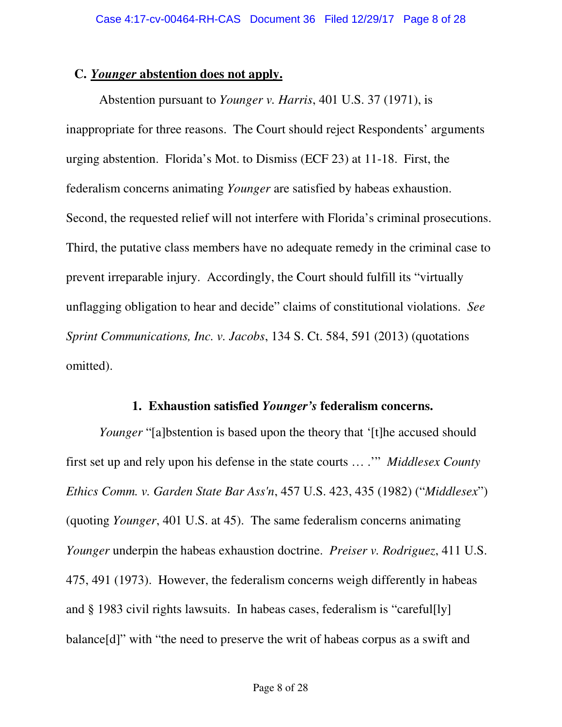### **C.** *Younger* **abstention does not apply.**

Abstention pursuant to *Younger v. Harris*, 401 U.S. 37 (1971), is inappropriate for three reasons. The Court should reject Respondents' arguments urging abstention. Florida's Mot. to Dismiss (ECF 23) at 11-18. First, the federalism concerns animating *Younger* are satisfied by habeas exhaustion. Second, the requested relief will not interfere with Florida's criminal prosecutions. Third, the putative class members have no adequate remedy in the criminal case to prevent irreparable injury. Accordingly, the Court should fulfill its "virtually unflagging obligation to hear and decide" claims of constitutional violations. *See Sprint Communications, Inc. v. Jacobs*, 134 S. Ct. 584, 591 (2013) (quotations omitted).

### **1. Exhaustion satisfied** *Younger's* **federalism concerns.**

*Younger* "[a]bstention is based upon the theory that '[t]he accused should first set up and rely upon his defense in the state courts … .'" *Middlesex County Ethics Comm. v. Garden State Bar Ass'n*, 457 U.S. 423, 435 (1982) ("*Middlesex*") (quoting *Younger*, 401 U.S. at 45). The same federalism concerns animating *Younger* underpin the habeas exhaustion doctrine. *Preiser v. Rodriguez*, 411 U.S. 475, 491 (1973). However, the federalism concerns weigh differently in habeas and § 1983 civil rights lawsuits. In habeas cases, federalism is "careful[ly] balance[d]" with "the need to preserve the writ of habeas corpus as a swift and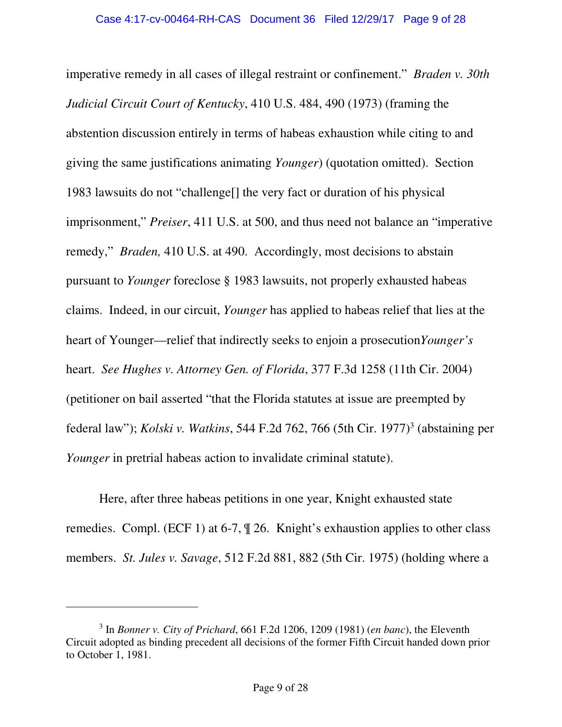imperative remedy in all cases of illegal restraint or confinement." *Braden v. 30th Judicial Circuit Court of Kentucky*, 410 U.S. 484, 490 (1973) (framing the abstention discussion entirely in terms of habeas exhaustion while citing to and giving the same justifications animating *Younger*) (quotation omitted). Section 1983 lawsuits do not "challenge[] the very fact or duration of his physical imprisonment," *Preiser*, 411 U.S. at 500, and thus need not balance an "imperative remedy," *Braden,* 410 U.S. at 490. Accordingly, most decisions to abstain pursuant to *Younger* foreclose § 1983 lawsuits, not properly exhausted habeas claims. Indeed, in our circuit, *Younger* has applied to habeas relief that lies at the heart of Younger—relief that indirectly seeks to enjoin a prosecution*Younger's* heart. *See Hughes v. Attorney Gen. of Florida*, 377 F.3d 1258 (11th Cir. 2004) (petitioner on bail asserted "that the Florida statutes at issue are preempted by federal law"); *Kolski v. Watkins*, 544 F.2d 762, 766 (5th Cir. 1977)<sup>3</sup> (abstaining per *Younger* in pretrial habeas action to invalidate criminal statute).

Here, after three habeas petitions in one year, Knight exhausted state remedies. Compl. (ECF 1) at 6-7, ¶ 26. Knight's exhaustion applies to other class members. *St. Jules v. Savage*, 512 F.2d 881, 882 (5th Cir. 1975) (holding where a

<sup>3</sup> In *Bonner v. City of Prichard*, 661 F.2d 1206, 1209 (1981) (*en banc*), the Eleventh Circuit adopted as binding precedent all decisions of the former Fifth Circuit handed down prior to October 1, 1981.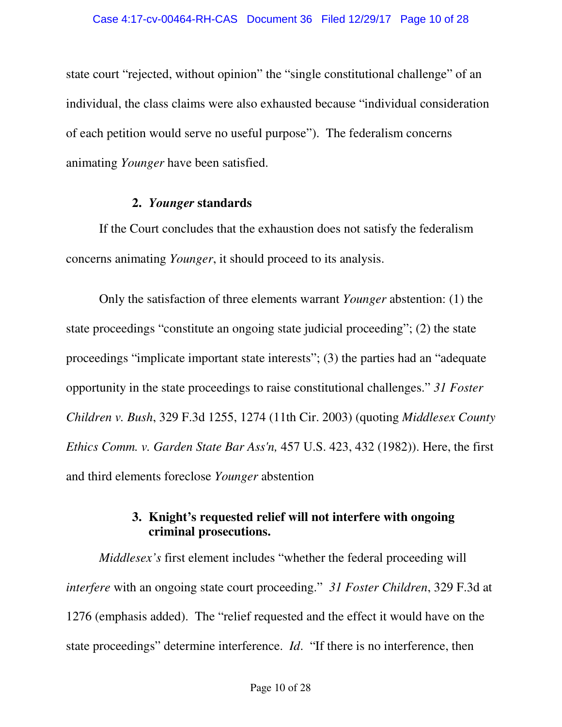state court "rejected, without opinion" the "single constitutional challenge" of an individual, the class claims were also exhausted because "individual consideration of each petition would serve no useful purpose"). The federalism concerns animating *Younger* have been satisfied.

### **2.** *Younger* **standards**

If the Court concludes that the exhaustion does not satisfy the federalism concerns animating *Younger*, it should proceed to its analysis.

Only the satisfaction of three elements warrant *Younger* abstention: (1) the state proceedings "constitute an ongoing state judicial proceeding"; (2) the state proceedings "implicate important state interests"; (3) the parties had an "adequate opportunity in the state proceedings to raise constitutional challenges." *31 Foster Children v. Bush*, 329 F.3d 1255, 1274 (11th Cir. 2003) (quoting *Middlesex County Ethics Comm. v. Garden State Bar Ass'n,* 457 U.S. 423, 432 (1982)). Here, the first and third elements foreclose *Younger* abstention

# **3. Knight's requested relief will not interfere with ongoing criminal prosecutions.**

*Middlesex's* first element includes "whether the federal proceeding will *interfere* with an ongoing state court proceeding." *31 Foster Children*, 329 F.3d at 1276 (emphasis added). The "relief requested and the effect it would have on the state proceedings" determine interference. *Id*. "If there is no interference, then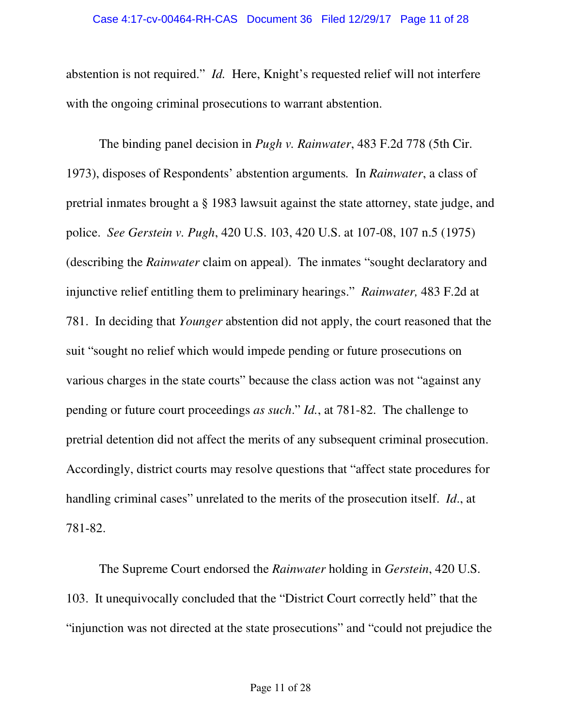abstention is not required." *Id.* Here, Knight's requested relief will not interfere with the ongoing criminal prosecutions to warrant abstention.

The binding panel decision in *Pugh v. Rainwater*, 483 F.2d 778 (5th Cir. 1973), disposes of Respondents' abstention arguments*.* In *Rainwater*, a class of pretrial inmates brought a § 1983 lawsuit against the state attorney, state judge, and police. *See Gerstein v. Pugh*, 420 U.S. 103, 420 U.S. at 107-08, 107 n.5 (1975) (describing the *Rainwater* claim on appeal). The inmates "sought declaratory and injunctive relief entitling them to preliminary hearings." *Rainwater,* 483 F.2d at 781. In deciding that *Younger* abstention did not apply, the court reasoned that the suit "sought no relief which would impede pending or future prosecutions on various charges in the state courts" because the class action was not "against any pending or future court proceedings *as such*." *Id.*, at 781-82. The challenge to pretrial detention did not affect the merits of any subsequent criminal prosecution. Accordingly, district courts may resolve questions that "affect state procedures for handling criminal cases" unrelated to the merits of the prosecution itself. *Id*., at 781-82.

The Supreme Court endorsed the *Rainwater* holding in *Gerstein*, 420 U.S. 103. It unequivocally concluded that the "District Court correctly held" that the "injunction was not directed at the state prosecutions" and "could not prejudice the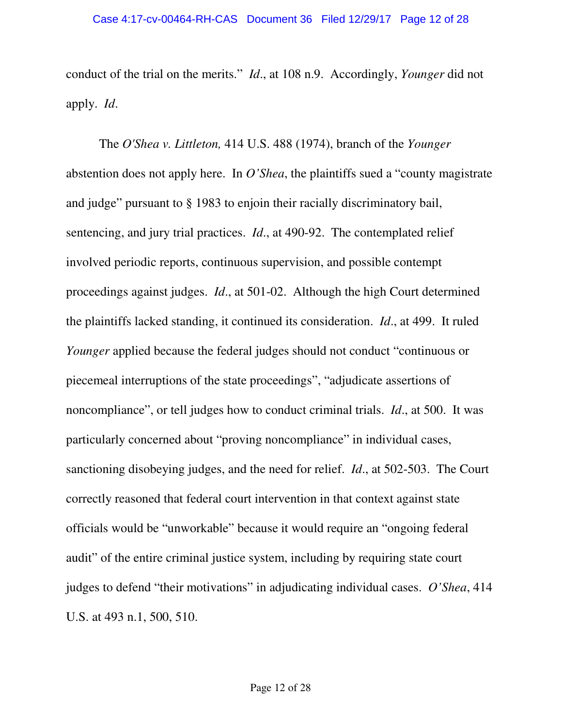conduct of the trial on the merits." *Id*., at 108 n.9. Accordingly, *Younger* did not apply. *Id*.

The *O'Shea v. Littleton,* 414 U.S. 488 (1974), branch of the *Younger* abstention does not apply here. In *O'Shea*, the plaintiffs sued a "county magistrate and judge" pursuant to § 1983 to enjoin their racially discriminatory bail, sentencing, and jury trial practices. *Id*., at 490-92. The contemplated relief involved periodic reports, continuous supervision, and possible contempt proceedings against judges. *Id*., at 501-02. Although the high Court determined the plaintiffs lacked standing, it continued its consideration. *Id*., at 499. It ruled *Younger* applied because the federal judges should not conduct "continuous or piecemeal interruptions of the state proceedings", "adjudicate assertions of noncompliance", or tell judges how to conduct criminal trials. *Id*., at 500. It was particularly concerned about "proving noncompliance" in individual cases, sanctioning disobeying judges, and the need for relief. *Id*., at 502-503. The Court correctly reasoned that federal court intervention in that context against state officials would be "unworkable" because it would require an "ongoing federal audit" of the entire criminal justice system, including by requiring state court judges to defend "their motivations" in adjudicating individual cases. *O'Shea*, 414 U.S. at 493 n.1, 500, 510.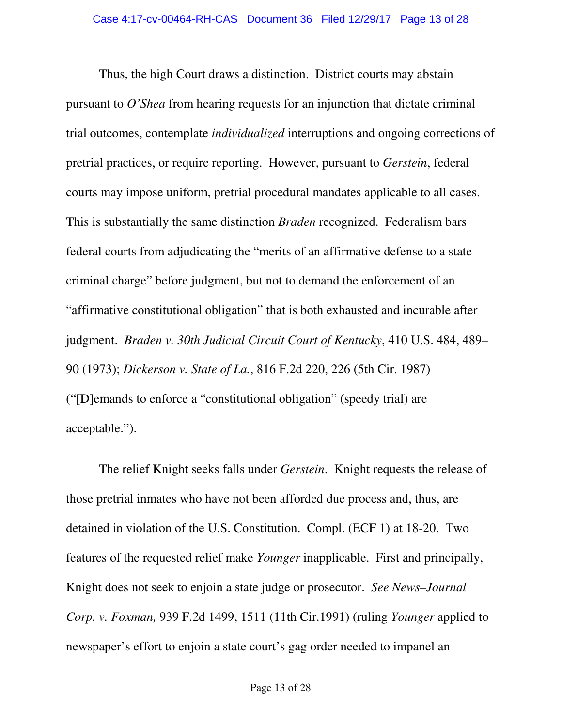Thus, the high Court draws a distinction. District courts may abstain pursuant to *O'Shea* from hearing requests for an injunction that dictate criminal trial outcomes, contemplate *individualized* interruptions and ongoing corrections of pretrial practices, or require reporting. However, pursuant to *Gerstein*, federal courts may impose uniform, pretrial procedural mandates applicable to all cases. This is substantially the same distinction *Braden* recognized. Federalism bars federal courts from adjudicating the "merits of an affirmative defense to a state criminal charge" before judgment, but not to demand the enforcement of an "affirmative constitutional obligation" that is both exhausted and incurable after judgment. *Braden v. 30th Judicial Circuit Court of Kentucky*, 410 U.S. 484, 489– 90 (1973); *Dickerson v. State of La.*, 816 F.2d 220, 226 (5th Cir. 1987) ("[D]emands to enforce a "constitutional obligation" (speedy trial) are acceptable.").

The relief Knight seeks falls under *Gerstein*. Knight requests the release of those pretrial inmates who have not been afforded due process and, thus, are detained in violation of the U.S. Constitution. Compl. (ECF 1) at 18-20. Two features of the requested relief make *Younger* inapplicable. First and principally, Knight does not seek to enjoin a state judge or prosecutor. *See News–Journal Corp. v. Foxman,* 939 F.2d 1499, 1511 (11th Cir.1991) (ruling *Younger* applied to newspaper's effort to enjoin a state court's gag order needed to impanel an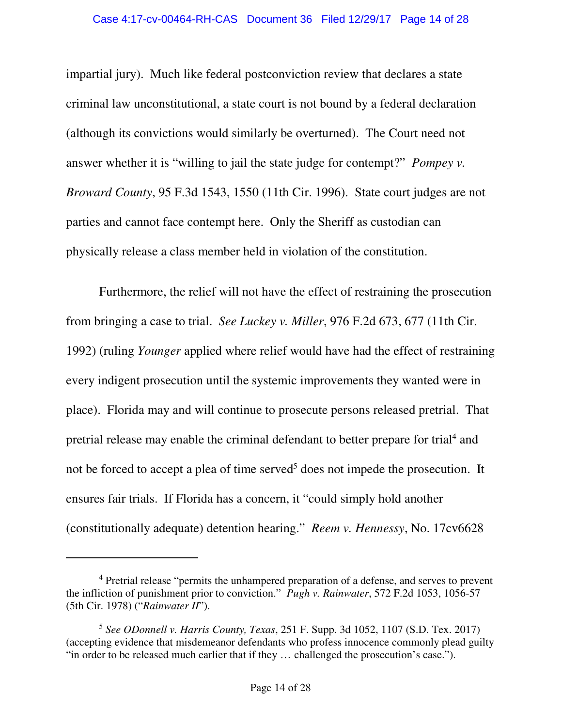impartial jury). Much like federal postconviction review that declares a state criminal law unconstitutional, a state court is not bound by a federal declaration (although its convictions would similarly be overturned). The Court need not answer whether it is "willing to jail the state judge for contempt?" *Pompey v. Broward County*, 95 F.3d 1543, 1550 (11th Cir. 1996). State court judges are not parties and cannot face contempt here. Only the Sheriff as custodian can physically release a class member held in violation of the constitution.

Furthermore, the relief will not have the effect of restraining the prosecution from bringing a case to trial. *See Luckey v. Miller*, 976 F.2d 673, 677 (11th Cir. 1992) (ruling *Younger* applied where relief would have had the effect of restraining every indigent prosecution until the systemic improvements they wanted were in place). Florida may and will continue to prosecute persons released pretrial. That pretrial release may enable the criminal defendant to better prepare for trial<sup>4</sup> and not be forced to accept a plea of time served<sup>5</sup> does not impede the prosecution. It ensures fair trials. If Florida has a concern, it "could simply hold another (constitutionally adequate) detention hearing." *Reem v. Hennessy*, No. 17cv6628

<sup>&</sup>lt;sup>4</sup> Pretrial release "permits the unhampered preparation of a defense, and serves to prevent the infliction of punishment prior to conviction." *Pugh v. Rainwater*, 572 F.2d 1053, 1056-57 (5th Cir. 1978) ("*Rainwater II*").

<sup>5</sup> *See ODonnell v. Harris County, Texas*, 251 F. Supp. 3d 1052, 1107 (S.D. Tex. 2017) (accepting evidence that misdemeanor defendants who profess innocence commonly plead guilty "in order to be released much earlier that if they … challenged the prosecution's case.").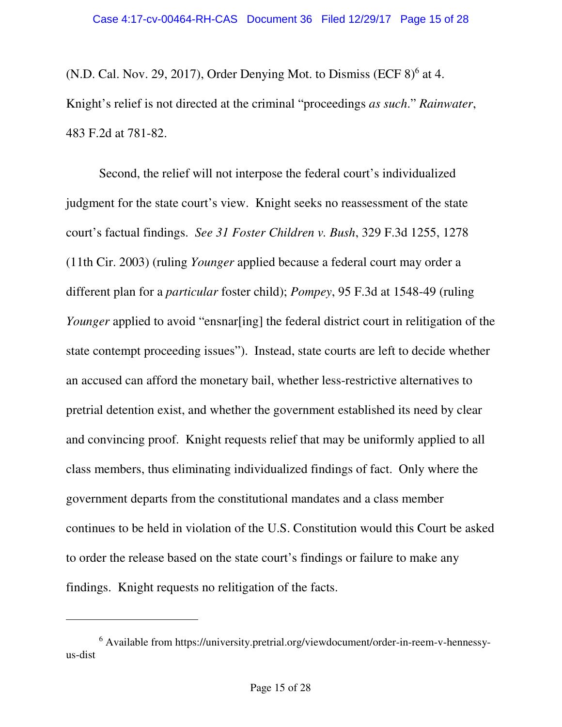(N.D. Cal. Nov. 29, 2017), Order Denying Mot. to Dismiss (ECF  $8)^6$  at 4. Knight's relief is not directed at the criminal "proceedings *as such*." *Rainwater*, 483 F.2d at 781-82.

Second, the relief will not interpose the federal court's individualized judgment for the state court's view. Knight seeks no reassessment of the state court's factual findings. *See 31 Foster Children v. Bush*, 329 F.3d 1255, 1278 (11th Cir. 2003) (ruling *Younger* applied because a federal court may order a different plan for a *particular* foster child); *Pompey*, 95 F.3d at 1548-49 (ruling *Younger* applied to avoid "ensnar[ing] the federal district court in relitigation of the state contempt proceeding issues"). Instead, state courts are left to decide whether an accused can afford the monetary bail, whether less-restrictive alternatives to pretrial detention exist, and whether the government established its need by clear and convincing proof. Knight requests relief that may be uniformly applied to all class members, thus eliminating individualized findings of fact. Only where the government departs from the constitutional mandates and a class member continues to be held in violation of the U.S. Constitution would this Court be asked to order the release based on the state court's findings or failure to make any findings. Knight requests no relitigation of the facts.

<sup>&</sup>lt;sup>6</sup> Available from https://university.pretrial.org/viewdocument/order-in-reem-v-hennessyus-dist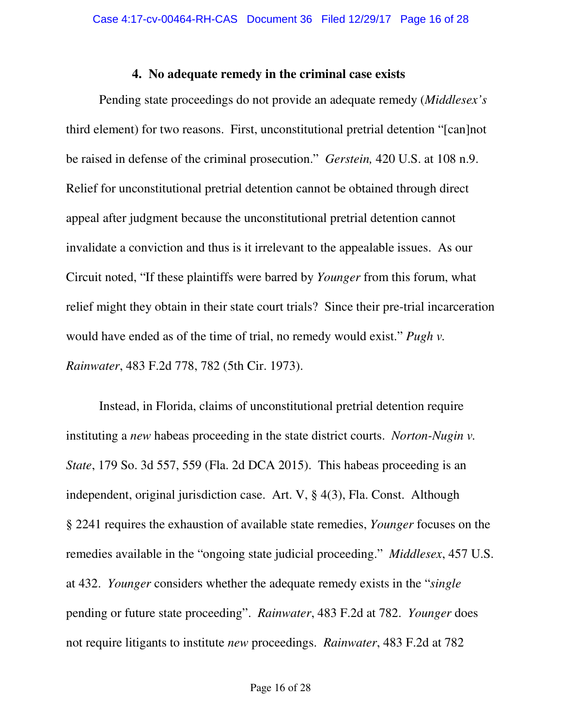#### **4. No adequate remedy in the criminal case exists**

Pending state proceedings do not provide an adequate remedy (*Middlesex's* third element) for two reasons. First, unconstitutional pretrial detention "[can]not be raised in defense of the criminal prosecution." *Gerstein,* 420 U.S. at 108 n.9. Relief for unconstitutional pretrial detention cannot be obtained through direct appeal after judgment because the unconstitutional pretrial detention cannot invalidate a conviction and thus is it irrelevant to the appealable issues. As our Circuit noted, "If these plaintiffs were barred by *Younger* from this forum, what relief might they obtain in their state court trials? Since their pre-trial incarceration would have ended as of the time of trial, no remedy would exist." *Pugh v. Rainwater*, 483 F.2d 778, 782 (5th Cir. 1973).

Instead, in Florida, claims of unconstitutional pretrial detention require instituting a *new* habeas proceeding in the state district courts. *Norton-Nugin v. State*, 179 So. 3d 557, 559 (Fla. 2d DCA 2015). This habeas proceeding is an independent, original jurisdiction case. Art. V, § 4(3), Fla. Const. Although § 2241 requires the exhaustion of available state remedies, *Younger* focuses on the remedies available in the "ongoing state judicial proceeding." *Middlesex*, 457 U.S. at 432. *Younger* considers whether the adequate remedy exists in the "*single* pending or future state proceeding". *Rainwater*, 483 F.2d at 782. *Younger* does not require litigants to institute *new* proceedings. *Rainwater*, 483 F.2d at 782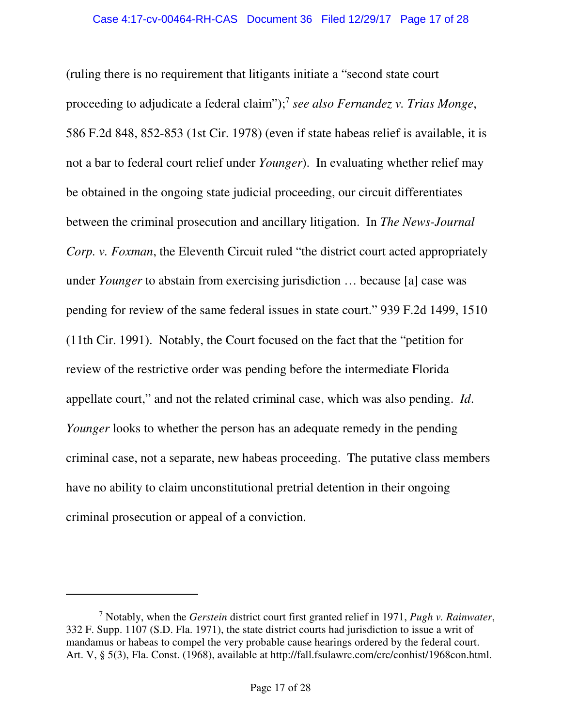(ruling there is no requirement that litigants initiate a "second state court proceeding to adjudicate a federal claim");<sup>7</sup> see also Fernandez v. Trias Monge, 586 F.2d 848, 852-853 (1st Cir. 1978) (even if state habeas relief is available, it is not a bar to federal court relief under *Younger*). In evaluating whether relief may be obtained in the ongoing state judicial proceeding, our circuit differentiates between the criminal prosecution and ancillary litigation. In *The News-Journal Corp. v. Foxman,* the Eleventh Circuit ruled "the district court acted appropriately under *Younger* to abstain from exercising jurisdiction … because [a] case was pending for review of the same federal issues in state court." 939 F.2d 1499, 1510 (11th Cir. 1991). Notably, the Court focused on the fact that the "petition for review of the restrictive order was pending before the intermediate Florida appellate court," and not the related criminal case, which was also pending. *Id*. *Younger* looks to whether the person has an adequate remedy in the pending criminal case, not a separate, new habeas proceeding. The putative class members have no ability to claim unconstitutional pretrial detention in their ongoing criminal prosecution or appeal of a conviction.

<sup>7</sup> Notably, when the *Gerstein* district court first granted relief in 1971, *Pugh v. Rainwater*, 332 F. Supp. 1107 (S.D. Fla. 1971), the state district courts had jurisdiction to issue a writ of mandamus or habeas to compel the very probable cause hearings ordered by the federal court. Art. V, § 5(3), Fla. Const. (1968), available at http://fall.fsulawrc.com/crc/conhist/1968con.html.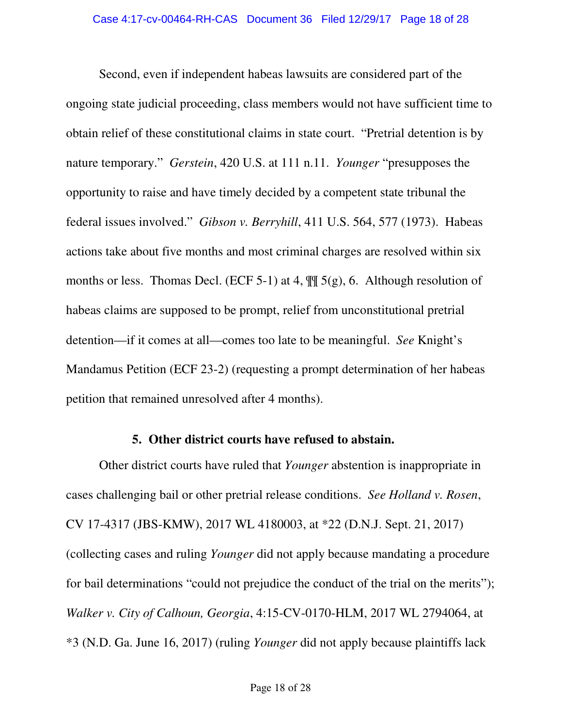Second, even if independent habeas lawsuits are considered part of the ongoing state judicial proceeding, class members would not have sufficient time to obtain relief of these constitutional claims in state court. "Pretrial detention is by nature temporary." *Gerstein*, 420 U.S. at 111 n.11. *Younger* "presupposes the opportunity to raise and have timely decided by a competent state tribunal the federal issues involved." *Gibson v. Berryhill*, 411 U.S. 564, 577 (1973). Habeas actions take about five months and most criminal charges are resolved within six months or less. Thomas Decl. (ECF 5-1) at 4,  $\mathbb{I}$  5(g), 6. Although resolution of habeas claims are supposed to be prompt, relief from unconstitutional pretrial detention—if it comes at all—comes too late to be meaningful. *See* Knight's Mandamus Petition (ECF 23-2) (requesting a prompt determination of her habeas petition that remained unresolved after 4 months).

#### **5. Other district courts have refused to abstain.**

Other district courts have ruled that *Younger* abstention is inappropriate in cases challenging bail or other pretrial release conditions. *See Holland v. Rosen*, CV 17-4317 (JBS-KMW), 2017 WL 4180003, at \*22 (D.N.J. Sept. 21, 2017) (collecting cases and ruling *Younger* did not apply because mandating a procedure for bail determinations "could not prejudice the conduct of the trial on the merits"); *Walker v. City of Calhoun, Georgia*, 4:15-CV-0170-HLM, 2017 WL 2794064, at \*3 (N.D. Ga. June 16, 2017) (ruling *Younger* did not apply because plaintiffs lack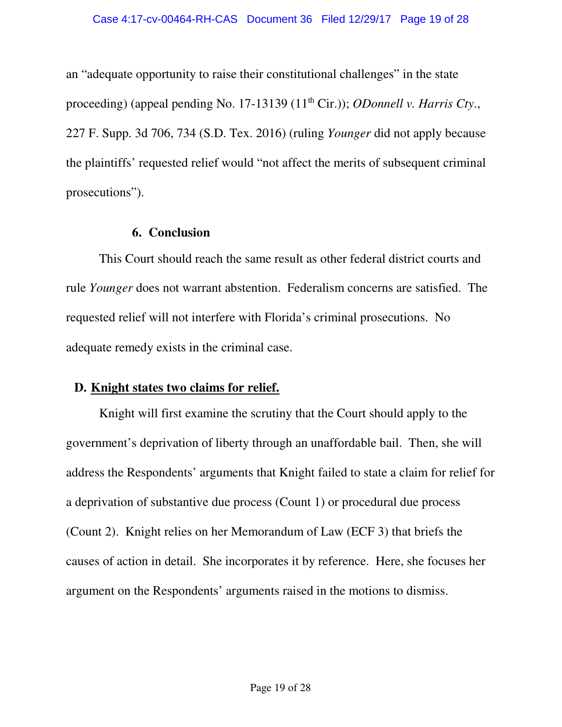an "adequate opportunity to raise their constitutional challenges" in the state proceeding) (appeal pending No. 17-13139 (11<sup>th</sup> Cir.)); *ODonnell v. Harris Cty.*, 227 F. Supp. 3d 706, 734 (S.D. Tex. 2016) (ruling *Younger* did not apply because the plaintiffs' requested relief would "not affect the merits of subsequent criminal prosecutions").

#### **6. Conclusion**

This Court should reach the same result as other federal district courts and rule *Younger* does not warrant abstention. Federalism concerns are satisfied. The requested relief will not interfere with Florida's criminal prosecutions. No adequate remedy exists in the criminal case.

## **D. Knight states two claims for relief.**

Knight will first examine the scrutiny that the Court should apply to the government's deprivation of liberty through an unaffordable bail. Then, she will address the Respondents' arguments that Knight failed to state a claim for relief for a deprivation of substantive due process (Count 1) or procedural due process (Count 2). Knight relies on her Memorandum of Law (ECF 3) that briefs the causes of action in detail. She incorporates it by reference. Here, she focuses her argument on the Respondents' arguments raised in the motions to dismiss.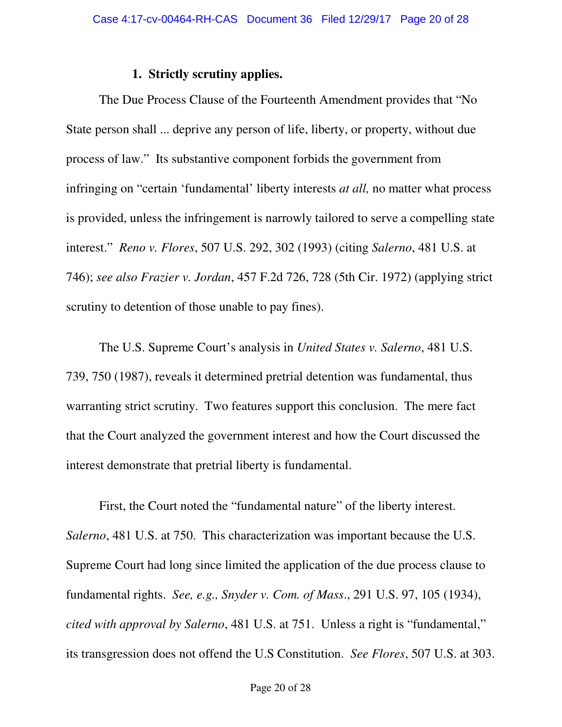#### **1. Strictly scrutiny applies.**

The Due Process Clause of the Fourteenth Amendment provides that "No State person shall ... deprive any person of life, liberty, or property, without due process of law." Its substantive component forbids the government from infringing on "certain 'fundamental' liberty interests *at all,* no matter what process is provided, unless the infringement is narrowly tailored to serve a compelling state interest." *Reno v. Flores*, 507 U.S. 292, 302 (1993) (citing *Salerno*, 481 U.S. at 746); *see also Frazier v. Jordan*, 457 F.2d 726, 728 (5th Cir. 1972) (applying strict scrutiny to detention of those unable to pay fines).

The U.S. Supreme Court's analysis in *United States v. Salerno*, 481 U.S. 739, 750 (1987), reveals it determined pretrial detention was fundamental, thus warranting strict scrutiny. Two features support this conclusion. The mere fact that the Court analyzed the government interest and how the Court discussed the interest demonstrate that pretrial liberty is fundamental.

First, the Court noted the "fundamental nature" of the liberty interest. *Salerno*, 481 U.S. at 750. This characterization was important because the U.S. Supreme Court had long since limited the application of the due process clause to fundamental rights. *See, e.g., Snyder v. Com. of Mass*., 291 U.S. 97, 105 (1934), *cited with approval by Salerno*, 481 U.S. at 751. Unless a right is "fundamental," its transgression does not offend the U.S Constitution. *See Flores*, 507 U.S. at 303.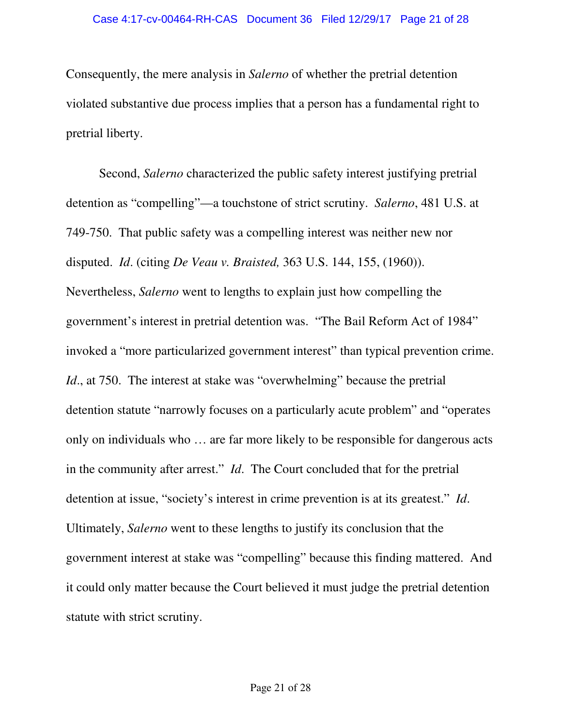Consequently, the mere analysis in *Salerno* of whether the pretrial detention violated substantive due process implies that a person has a fundamental right to pretrial liberty.

Second, *Salerno* characterized the public safety interest justifying pretrial detention as "compelling"—a touchstone of strict scrutiny. *Salerno*, 481 U.S. at 749-750. That public safety was a compelling interest was neither new nor disputed. *Id*. (citing *De Veau v. Braisted,* 363 U.S. 144, 155, (1960)). Nevertheless, *Salerno* went to lengths to explain just how compelling the government's interest in pretrial detention was. "The Bail Reform Act of 1984" invoked a "more particularized government interest" than typical prevention crime. *Id.*, at 750. The interest at stake was "overwhelming" because the pretrial detention statute "narrowly focuses on a particularly acute problem" and "operates only on individuals who … are far more likely to be responsible for dangerous acts in the community after arrest." *Id*. The Court concluded that for the pretrial detention at issue, "society's interest in crime prevention is at its greatest." *Id*. Ultimately, *Salerno* went to these lengths to justify its conclusion that the government interest at stake was "compelling" because this finding mattered. And it could only matter because the Court believed it must judge the pretrial detention statute with strict scrutiny.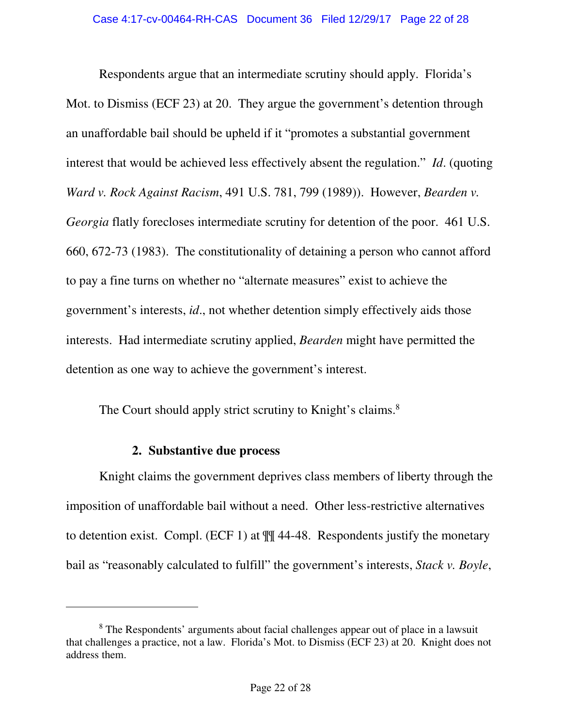Respondents argue that an intermediate scrutiny should apply. Florida's Mot. to Dismiss (ECF 23) at 20. They argue the government's detention through an unaffordable bail should be upheld if it "promotes a substantial government interest that would be achieved less effectively absent the regulation." *Id*. (quoting *Ward v. Rock Against Racism*, 491 U.S. 781, 799 (1989)). However, *Bearden v. Georgia* flatly forecloses intermediate scrutiny for detention of the poor. 461 U.S. 660, 672-73 (1983). The constitutionality of detaining a person who cannot afford to pay a fine turns on whether no "alternate measures" exist to achieve the government's interests, *id*., not whether detention simply effectively aids those interests. Had intermediate scrutiny applied, *Bearden* might have permitted the detention as one way to achieve the government's interest.

The Court should apply strict scrutiny to Knight's claims.<sup>8</sup>

### **2. Substantive due process**

 $\overline{a}$ 

Knight claims the government deprives class members of liberty through the imposition of unaffordable bail without a need. Other less-restrictive alternatives to detention exist. Compl. (ECF 1) at ¶¶ 44-48. Respondents justify the monetary bail as "reasonably calculated to fulfill" the government's interests, *Stack v. Boyle*,

<sup>&</sup>lt;sup>8</sup> The Respondents' arguments about facial challenges appear out of place in a lawsuit that challenges a practice, not a law. Florida's Mot. to Dismiss (ECF 23) at 20. Knight does not address them.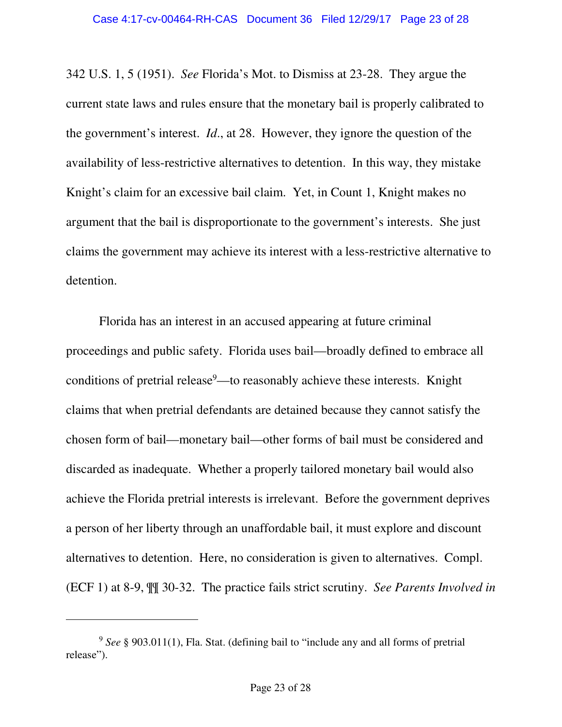342 U.S. 1, 5 (1951). *See* Florida's Mot. to Dismiss at 23-28. They argue the current state laws and rules ensure that the monetary bail is properly calibrated to the government's interest. *Id*., at 28. However, they ignore the question of the availability of less-restrictive alternatives to detention. In this way, they mistake Knight's claim for an excessive bail claim. Yet, in Count 1, Knight makes no argument that the bail is disproportionate to the government's interests. She just claims the government may achieve its interest with a less-restrictive alternative to detention.

Florida has an interest in an accused appearing at future criminal proceedings and public safety. Florida uses bail—broadly defined to embrace all conditions of pretrial release<sup>9</sup>—to reasonably achieve these interests. Knight claims that when pretrial defendants are detained because they cannot satisfy the chosen form of bail—monetary bail—other forms of bail must be considered and discarded as inadequate. Whether a properly tailored monetary bail would also achieve the Florida pretrial interests is irrelevant. Before the government deprives a person of her liberty through an unaffordable bail, it must explore and discount alternatives to detention. Here, no consideration is given to alternatives. Compl. (ECF 1) at 8-9, ¶¶ 30-32. The practice fails strict scrutiny. *See Parents Involved in* 

<sup>9</sup> *See* § 903.011(1), Fla. Stat. (defining bail to "include any and all forms of pretrial release").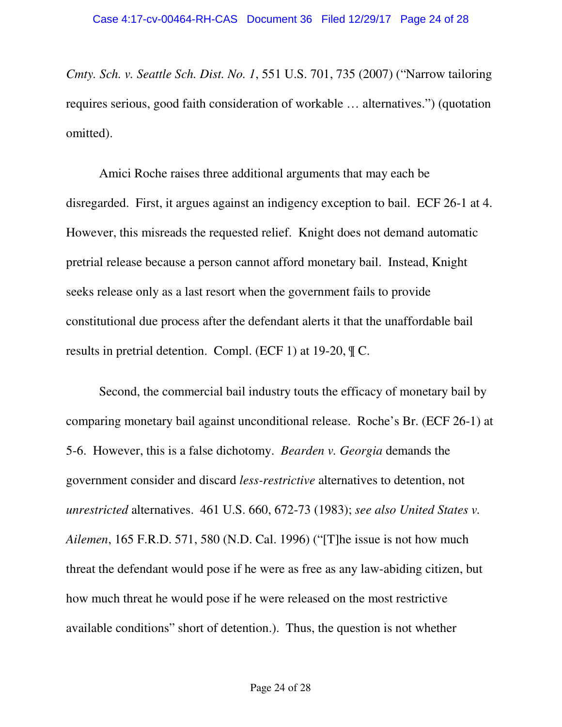*Cmty. Sch. v. Seattle Sch. Dist. No. 1*, 551 U.S. 701, 735 (2007) ("Narrow tailoring requires serious, good faith consideration of workable … alternatives.") (quotation omitted).

Amici Roche raises three additional arguments that may each be disregarded. First, it argues against an indigency exception to bail. ECF 26-1 at 4. However, this misreads the requested relief. Knight does not demand automatic pretrial release because a person cannot afford monetary bail. Instead, Knight seeks release only as a last resort when the government fails to provide constitutional due process after the defendant alerts it that the unaffordable bail results in pretrial detention. Compl. (ECF 1) at 19-20, ¶ C.

Second, the commercial bail industry touts the efficacy of monetary bail by comparing monetary bail against unconditional release. Roche's Br. (ECF 26-1) at 5-6. However, this is a false dichotomy. *Bearden v. Georgia* demands the government consider and discard *less-restrictive* alternatives to detention, not *unrestricted* alternatives. 461 U.S. 660, 672-73 (1983); *see also United States v. Ailemen*, 165 F.R.D. 571, 580 (N.D. Cal. 1996) ("[T]he issue is not how much threat the defendant would pose if he were as free as any law-abiding citizen, but how much threat he would pose if he were released on the most restrictive available conditions" short of detention.). Thus, the question is not whether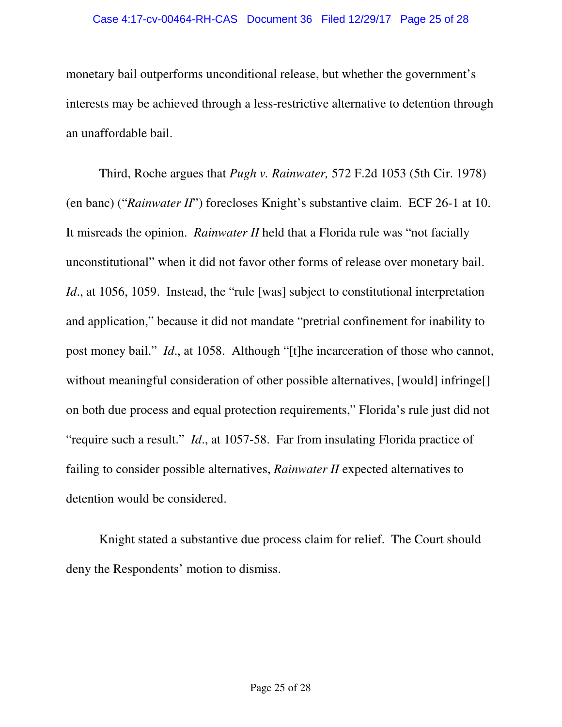#### Case 4:17-cv-00464-RH-CAS Document 36 Filed 12/29/17 Page 25 of 28

monetary bail outperforms unconditional release, but whether the government's interests may be achieved through a less-restrictive alternative to detention through an unaffordable bail.

Third, Roche argues that *Pugh v. Rainwater,* 572 F.2d 1053 (5th Cir. 1978) (en banc) ("*Rainwater II*") forecloses Knight's substantive claim. ECF 26-1 at 10. It misreads the opinion. *Rainwater II* held that a Florida rule was "not facially unconstitutional" when it did not favor other forms of release over monetary bail. *Id.*, at 1056, 1059. Instead, the "rule [was] subject to constitutional interpretation and application," because it did not mandate "pretrial confinement for inability to post money bail." *Id*., at 1058. Although "[t]he incarceration of those who cannot, without meaningful consideration of other possible alternatives, [would] infringe[] on both due process and equal protection requirements," Florida's rule just did not "require such a result." *Id*., at 1057-58. Far from insulating Florida practice of failing to consider possible alternatives, *Rainwater II* expected alternatives to detention would be considered.

Knight stated a substantive due process claim for relief. The Court should deny the Respondents' motion to dismiss.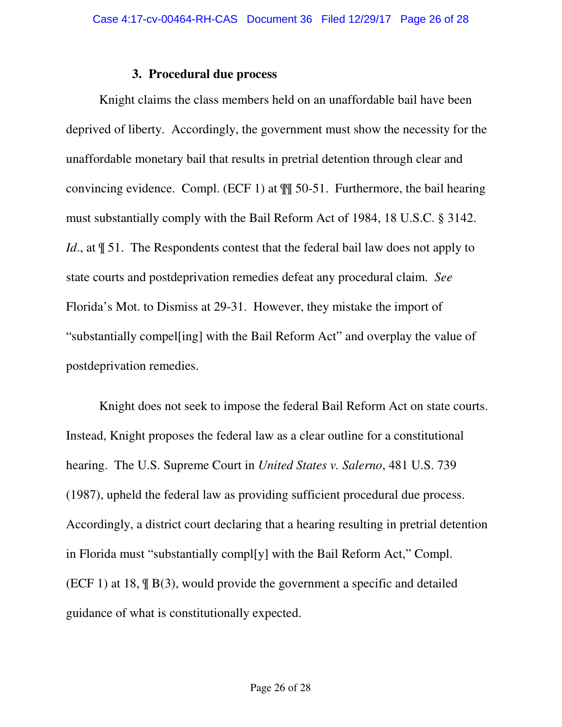#### **3. Procedural due process**

Knight claims the class members held on an unaffordable bail have been deprived of liberty. Accordingly, the government must show the necessity for the unaffordable monetary bail that results in pretrial detention through clear and convincing evidence. Compl. (ECF 1) at ¶¶ 50-51. Furthermore, the bail hearing must substantially comply with the Bail Reform Act of 1984, 18 U.S.C. § 3142. *Id.*, at  $\parallel$  51. The Respondents contest that the federal bail law does not apply to state courts and postdeprivation remedies defeat any procedural claim. *See*  Florida's Mot. to Dismiss at 29-31. However, they mistake the import of "substantially compel[ing] with the Bail Reform Act" and overplay the value of postdeprivation remedies.

Knight does not seek to impose the federal Bail Reform Act on state courts. Instead, Knight proposes the federal law as a clear outline for a constitutional hearing. The U.S. Supreme Court in *United States v. Salerno*, 481 U.S. 739 (1987), upheld the federal law as providing sufficient procedural due process. Accordingly, a district court declaring that a hearing resulting in pretrial detention in Florida must "substantially compl[y] with the Bail Reform Act," Compl. (ECF 1) at 18, ¶ B(3), would provide the government a specific and detailed guidance of what is constitutionally expected.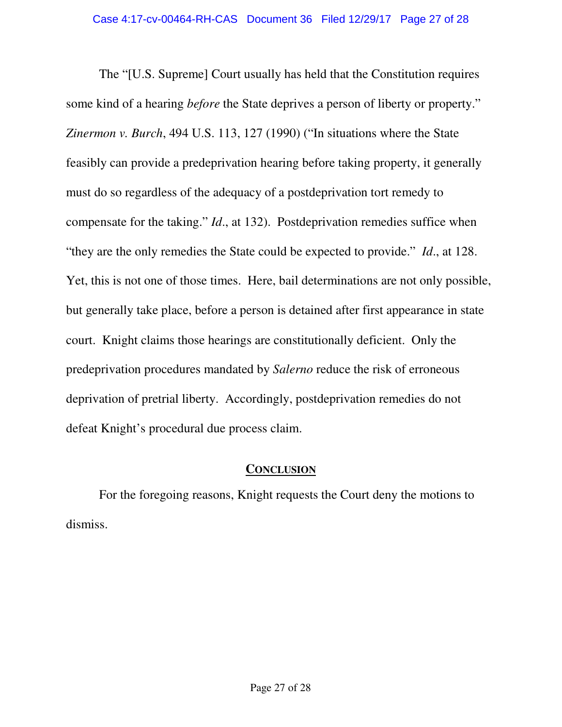The "[U.S. Supreme] Court usually has held that the Constitution requires some kind of a hearing *before* the State deprives a person of liberty or property." *Zinermon v. Burch*, 494 U.S. 113, 127 (1990) ("In situations where the State feasibly can provide a predeprivation hearing before taking property, it generally must do so regardless of the adequacy of a postdeprivation tort remedy to compensate for the taking." *Id*., at 132). Postdeprivation remedies suffice when "they are the only remedies the State could be expected to provide." *Id*., at 128. Yet, this is not one of those times. Here, bail determinations are not only possible, but generally take place, before a person is detained after first appearance in state court. Knight claims those hearings are constitutionally deficient. Only the predeprivation procedures mandated by *Salerno* reduce the risk of erroneous deprivation of pretrial liberty. Accordingly, postdeprivation remedies do not defeat Knight's procedural due process claim.

### **CONCLUSION**

For the foregoing reasons, Knight requests the Court deny the motions to dismiss.